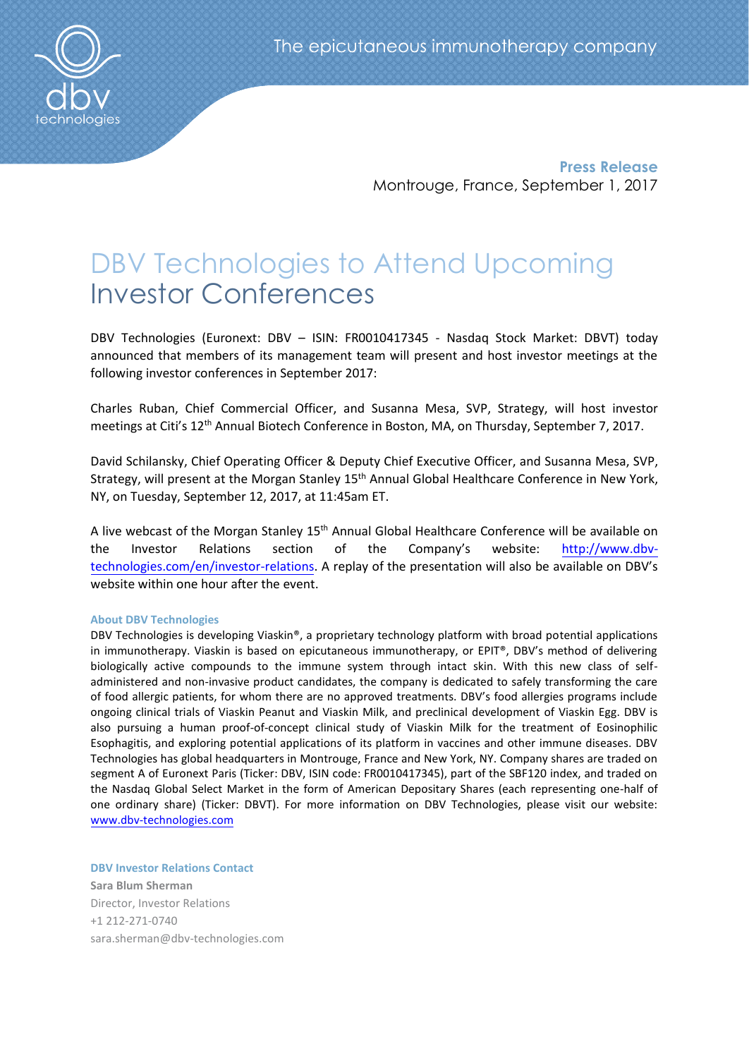

**Press Release** Montrouge, France, September 1, 2017

## DBV Technologies to Attend Upcoming Investor Conferences

DBV Technologies (Euronext: DBV – ISIN: FR0010417345 - Nasdaq Stock Market: DBVT) today announced that members of its management team will present and host investor meetings at the following investor conferences in September 2017:

Charles Ruban, Chief Commercial Officer, and Susanna Mesa, SVP, Strategy, will host investor meetings at Citi's 12<sup>th</sup> Annual Biotech Conference in Boston, MA, on Thursday, September 7, 2017.

David Schilansky, Chief Operating Officer & Deputy Chief Executive Officer, and Susanna Mesa, SVP, Strategy, will present at the Morgan Stanley 15th Annual Global Healthcare Conference in New York, NY, on Tuesday, September 12, 2017, at 11:45am ET.

A live webcast of the Morgan Stanley 15th Annual Global Healthcare Conference will be available on the Investor Relations section of the Company's website: [http://www.dbv](http://www.dbv-technologies.com/en/investor-relations)[technologies.com/en/investor-relations.](http://www.dbv-technologies.com/en/investor-relations) A replay of the presentation will also be available on DBV's website within one hour after the event.

## **About DBV Technologies**

DBV Technologies is developing Viaskin®, a proprietary technology platform with broad potential applications in immunotherapy. Viaskin is based on epicutaneous immunotherapy, or EPIT®, DBV's method of delivering biologically active compounds to the immune system through intact skin. With this new class of selfadministered and non-invasive product candidates, the company is dedicated to safely transforming the care of food allergic patients, for whom there are no approved treatments. DBV's food allergies programs include ongoing clinical trials of Viaskin Peanut and Viaskin Milk, and preclinical development of Viaskin Egg. DBV is also pursuing a human proof-of-concept clinical study of Viaskin Milk for the treatment of Eosinophilic Esophagitis, and exploring potential applications of its platform in vaccines and other immune diseases. DBV Technologies has global headquarters in Montrouge, France and New York, NY. Company shares are traded on segment A of Euronext Paris (Ticker: DBV, ISIN code: FR0010417345), part of the SBF120 index, and traded on the Nasdaq Global Select Market in the form of American Depositary Shares (each representing one-half of one ordinary share) (Ticker: DBVT). For more information on DBV Technologies, please visit our website: [www.dbv-technologies.com](http://www.dbv-technologies.com/)

**DBV Investor Relations Contact Sara Blum Sherman**  Director, Investor Relations +1 212-271-0740 [sara.sherman@dbv-technologies.com](mailto:susanna.mesa@dbv-technologies.com)